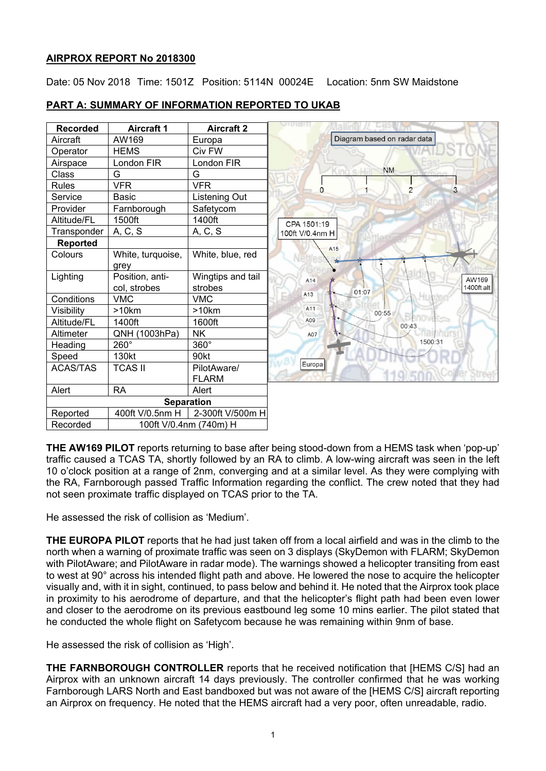## **AIRPROX REPORT No 2018300**

Date: 05 Nov 2018 Time: 1501Z Position: 5114N 00024E Location: 5nm SW Maidstone

# **PART A: SUMMARY OF INFORMATION REPORTED TO UKAB**

| <b>Recorded</b> | <b>Aircraft 1</b>               | <b>Aircraft 2</b>            | viiridii                            |
|-----------------|---------------------------------|------------------------------|-------------------------------------|
| Aircraft        | AW169                           | Europa                       | Diagram based on radar data         |
| Operator        | <b>HEMS</b>                     | Civ FW                       |                                     |
| Airspace        | London FIR                      | London FIR                   |                                     |
| Class           | G                               | G                            | <b>NM</b>                           |
| <b>Rules</b>    | <b>VFR</b>                      | <b>VFR</b>                   | 3<br>0                              |
| Service         | <b>Basic</b>                    | Listening Out                |                                     |
| Provider        | Farnborough                     | Safetycom                    |                                     |
| Altitude/FL     | 1500ft                          | 1400ft                       | CPA 1501:19                         |
| Transponder     | A, C, S                         | A, C, S                      | 100ft V/0.4nm H                     |
| <b>Reported</b> |                                 |                              | A <sub>15</sub>                     |
| Colours         | White, turquoise,<br>grey       | White, blue, red             |                                     |
| Lighting        | Position, anti-<br>col, strobes | Wingtips and tail<br>strobes | AW169<br>A14<br>1400ft alt<br>01:07 |
| Conditions      | <b>VMC</b>                      | <b>VMC</b>                   | A13                                 |
| Visibility      | >10km                           | >10km                        | A11<br>00:55                        |
| Altitude/FL     | 1400ft                          | 1600ft                       | A09<br>00:43                        |
| Altimeter       | QNH (1003hPa)                   | <b>NK</b>                    | A07                                 |
| Heading         | 260°                            | 360°                         | 1500:31                             |
| Speed           | 130kt                           | 90kt                         |                                     |
| <b>ACAS/TAS</b> | <b>TCAS II</b>                  | PilotAware/<br><b>FLARM</b>  | Europa                              |
| Alert           | <b>RA</b>                       | Alert                        |                                     |
|                 |                                 | <b>Separation</b>            |                                     |
| Reported        | 400ft V/0.5nm H                 | 2-300ft V/500m H             |                                     |
| Recorded        |                                 | 100ft V/0.4nm (740m) H       |                                     |

**THE AW169 PILOT** reports returning to base after being stood-down from a HEMS task when 'pop-up' traffic caused a TCAS TA, shortly followed by an RA to climb. A low-wing aircraft was seen in the left 10 o'clock position at a range of 2nm, converging and at a similar level. As they were complying with the RA, Farnborough passed Traffic Information regarding the conflict. The crew noted that they had not seen proximate traffic displayed on TCAS prior to the TA.

He assessed the risk of collision as 'Medium'.

**THE EUROPA PILOT** reports that he had just taken off from a local airfield and was in the climb to the north when a warning of proximate traffic was seen on 3 displays (SkyDemon with FLARM; SkyDemon with PilotAware; and PilotAware in radar mode). The warnings showed a helicopter transiting from east to west at 90° across his intended flight path and above. He lowered the nose to acquire the helicopter visually and, with it in sight, continued, to pass below and behind it. He noted that the Airprox took place in proximity to his aerodrome of departure, and that the helicopter's flight path had been even lower and closer to the aerodrome on its previous eastbound leg some 10 mins earlier. The pilot stated that he conducted the whole flight on Safetycom because he was remaining within 9nm of base.

He assessed the risk of collision as 'High'.

**THE FARNBOROUGH CONTROLLER** reports that he received notification that [HEMS C/S] had an Airprox with an unknown aircraft 14 days previously. The controller confirmed that he was working Farnborough LARS North and East bandboxed but was not aware of the [HEMS C/S] aircraft reporting an Airprox on frequency. He noted that the HEMS aircraft had a very poor, often unreadable, radio.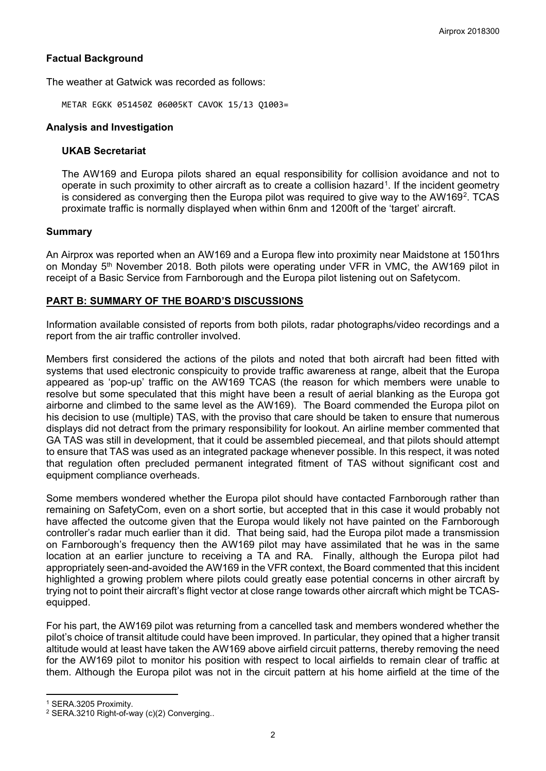## **Factual Background**

The weather at Gatwick was recorded as follows:

METAR EGKK 051450Z 06005KT CAVOK 15/13 Q1003=

### **Analysis and Investigation**

### **UKAB Secretariat**

The AW169 and Europa pilots shared an equal responsibility for collision avoidance and not to operate in such proximity to other aircraft as to create a collision hazard[1](#page-1-0). If the incident geometry is considered as converging then the Europa pilot was required to give way to the AW169<sup>[2](#page-1-1)</sup>. TCAS proximate traffic is normally displayed when within 6nm and 1200ft of the 'target' aircraft.

### **Summary**

An Airprox was reported when an AW169 and a Europa flew into proximity near Maidstone at 1501hrs on Monday 5<sup>th</sup> November 2018. Both pilots were operating under VFR in VMC, the AW169 pilot in receipt of a Basic Service from Farnborough and the Europa pilot listening out on Safetycom.

## **PART B: SUMMARY OF THE BOARD'S DISCUSSIONS**

Information available consisted of reports from both pilots, radar photographs/video recordings and a report from the air traffic controller involved.

Members first considered the actions of the pilots and noted that both aircraft had been fitted with systems that used electronic conspicuity to provide traffic awareness at range, albeit that the Europa appeared as 'pop-up' traffic on the AW169 TCAS (the reason for which members were unable to resolve but some speculated that this might have been a result of aerial blanking as the Europa got airborne and climbed to the same level as the AW169). The Board commended the Europa pilot on his decision to use (multiple) TAS, with the proviso that care should be taken to ensure that numerous displays did not detract from the primary responsibility for lookout. An airline member commented that GA TAS was still in development, that it could be assembled piecemeal, and that pilots should attempt to ensure that TAS was used as an integrated package whenever possible. In this respect, it was noted that regulation often precluded permanent integrated fitment of TAS without significant cost and equipment compliance overheads.

Some members wondered whether the Europa pilot should have contacted Farnborough rather than remaining on SafetyCom, even on a short sortie, but accepted that in this case it would probably not have affected the outcome given that the Europa would likely not have painted on the Farnborough controller's radar much earlier than it did. That being said, had the Europa pilot made a transmission on Farnborough's frequency then the AW169 pilot may have assimilated that he was in the same location at an earlier juncture to receiving a TA and RA. Finally, although the Europa pilot had appropriately seen-and-avoided the AW169 in the VFR context, the Board commented that this incident highlighted a growing problem where pilots could greatly ease potential concerns in other aircraft by trying not to point their aircraft's flight vector at close range towards other aircraft which might be TCASequipped.

For his part, the AW169 pilot was returning from a cancelled task and members wondered whether the pilot's choice of transit altitude could have been improved. In particular, they opined that a higher transit altitude would at least have taken the AW169 above airfield circuit patterns, thereby removing the need for the AW169 pilot to monitor his position with respect to local airfields to remain clear of traffic at them. Although the Europa pilot was not in the circuit pattern at his home airfield at the time of the

 $\overline{a}$ 

<span id="page-1-0"></span><sup>1</sup> SERA.3205 Proximity.

<span id="page-1-1"></span><sup>2</sup> SERA.3210 Right-of-way (c)(2) Converging..